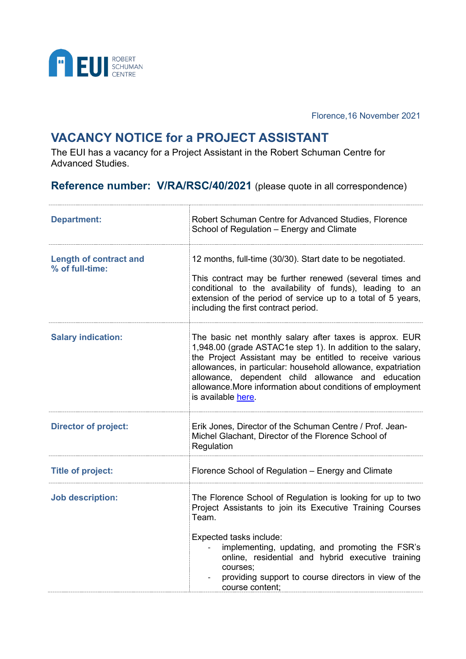

Florence,16 November 2021

## **VACANCY NOTICE for a PROJECT ASSISTANT**

The EUI has a vacancy for a Project Assistant in the Robert Schuman Centre for Advanced Studies.

**Reference number: V/RA/RSC/40/2021** (please quote in all correspondence)

| <b>Department:</b>                               | Robert Schuman Centre for Advanced Studies, Florence<br>School of Regulation - Energy and Climate                                                                                                                                                                                                                                                                                            |
|--------------------------------------------------|----------------------------------------------------------------------------------------------------------------------------------------------------------------------------------------------------------------------------------------------------------------------------------------------------------------------------------------------------------------------------------------------|
| <b>Length of contract and</b><br>% of full-time: | 12 months, full-time (30/30). Start date to be negotiated.<br>This contract may be further renewed (several times and<br>conditional to the availability of funds), leading to an<br>extension of the period of service up to a total of 5 years,<br>including the first contract period.                                                                                                    |
| <b>Salary indication:</b>                        | The basic net monthly salary after taxes is approx. EUR<br>1,948.00 (grade ASTAC1e step 1). In addition to the salary,<br>the Project Assistant may be entitled to receive various<br>allowances, in particular: household allowance, expatriation<br>allowance, dependent child allowance and education<br>allowance. More information about conditions of employment<br>is available here. |
| <b>Director of project:</b>                      | Erik Jones, Director of the Schuman Centre / Prof. Jean-<br>Michel Glachant, Director of the Florence School of<br>Regulation                                                                                                                                                                                                                                                                |
| <b>Title of project:</b>                         | Florence School of Regulation - Energy and Climate                                                                                                                                                                                                                                                                                                                                           |
| <b>Job description:</b>                          | The Florence School of Regulation is looking for up to two<br>Project Assistants to join its Executive Training Courses<br>Team.                                                                                                                                                                                                                                                             |
|                                                  | Expected tasks include:<br>implementing, updating, and promoting the FSR's<br>online, residential and hybrid executive training<br>courses;<br>providing support to course directors in view of the<br>course content:                                                                                                                                                                       |